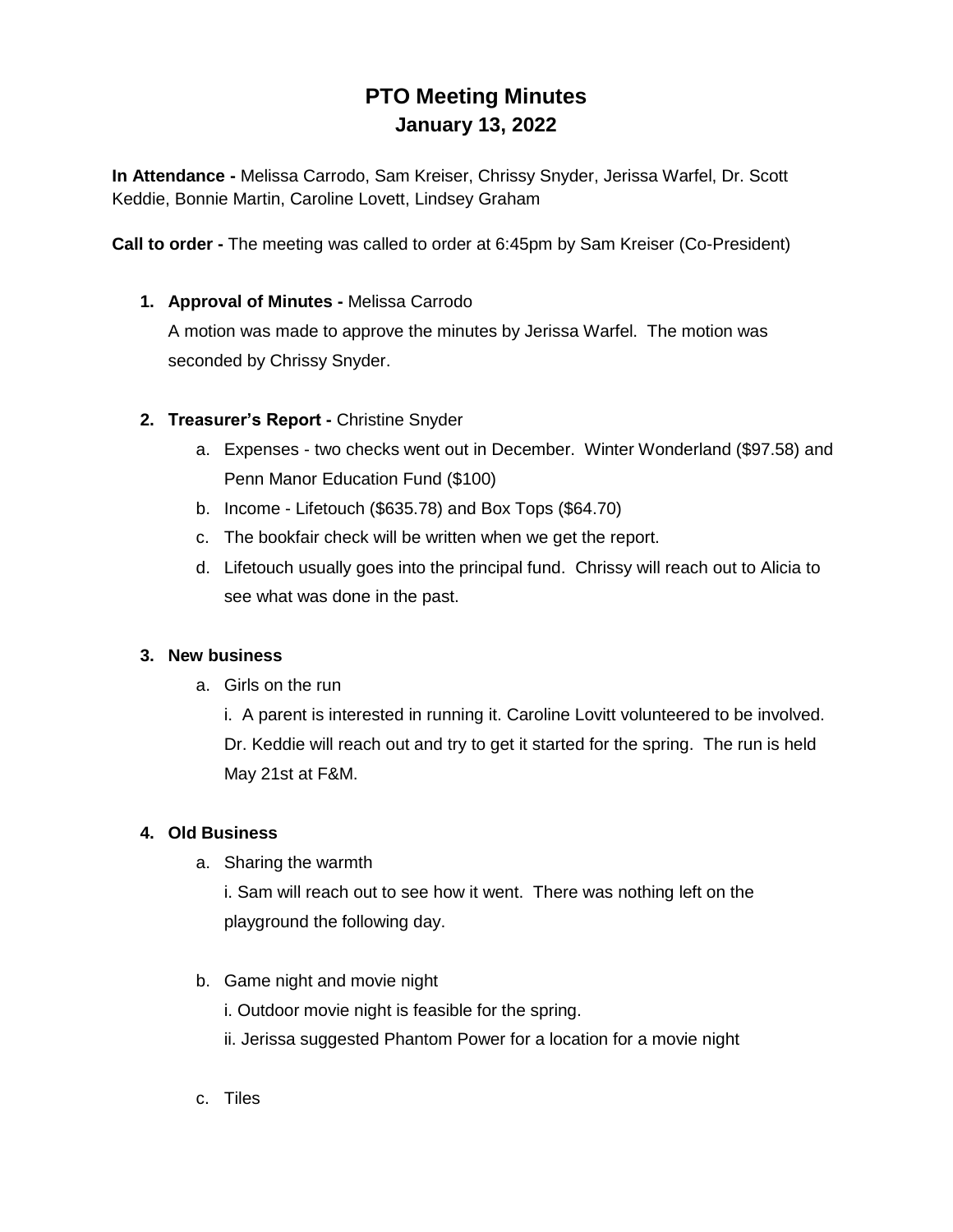# **PTO Meeting Minutes January 13, 2022**

**In Attendance -** Melissa Carrodo, Sam Kreiser, Chrissy Snyder, Jerissa Warfel, Dr. Scott Keddie, Bonnie Martin, Caroline Lovett, Lindsey Graham

**Call to order -** The meeting was called to order at 6:45pm by Sam Kreiser (Co-President)

# **1. Approval of Minutes -** Melissa Carrodo

A motion was made to approve the minutes by Jerissa Warfel. The motion was seconded by Chrissy Snyder.

# **2. Treasurer's Report -** Christine Snyder

- a. Expenses two checks went out in December. Winter Wonderland (\$97.58) and Penn Manor Education Fund (\$100)
- b. Income Lifetouch (\$635.78) and Box Tops (\$64.70)
- c. The bookfair check will be written when we get the report.
- d. Lifetouch usually goes into the principal fund. Chrissy will reach out to Alicia to see what was done in the past.

#### **3. New business**

a. Girls on the run

i. A parent is interested in running it. Caroline Lovitt volunteered to be involved. Dr. Keddie will reach out and try to get it started for the spring. The run is held May 21st at F&M.

#### **4. Old Business**

a. Sharing the warmth

i. Sam will reach out to see how it went. There was nothing left on the playground the following day.

- b. Game night and movie night
	- i. Outdoor movie night is feasible for the spring.
	- ii. Jerissa suggested Phantom Power for a location for a movie night
- c. Tiles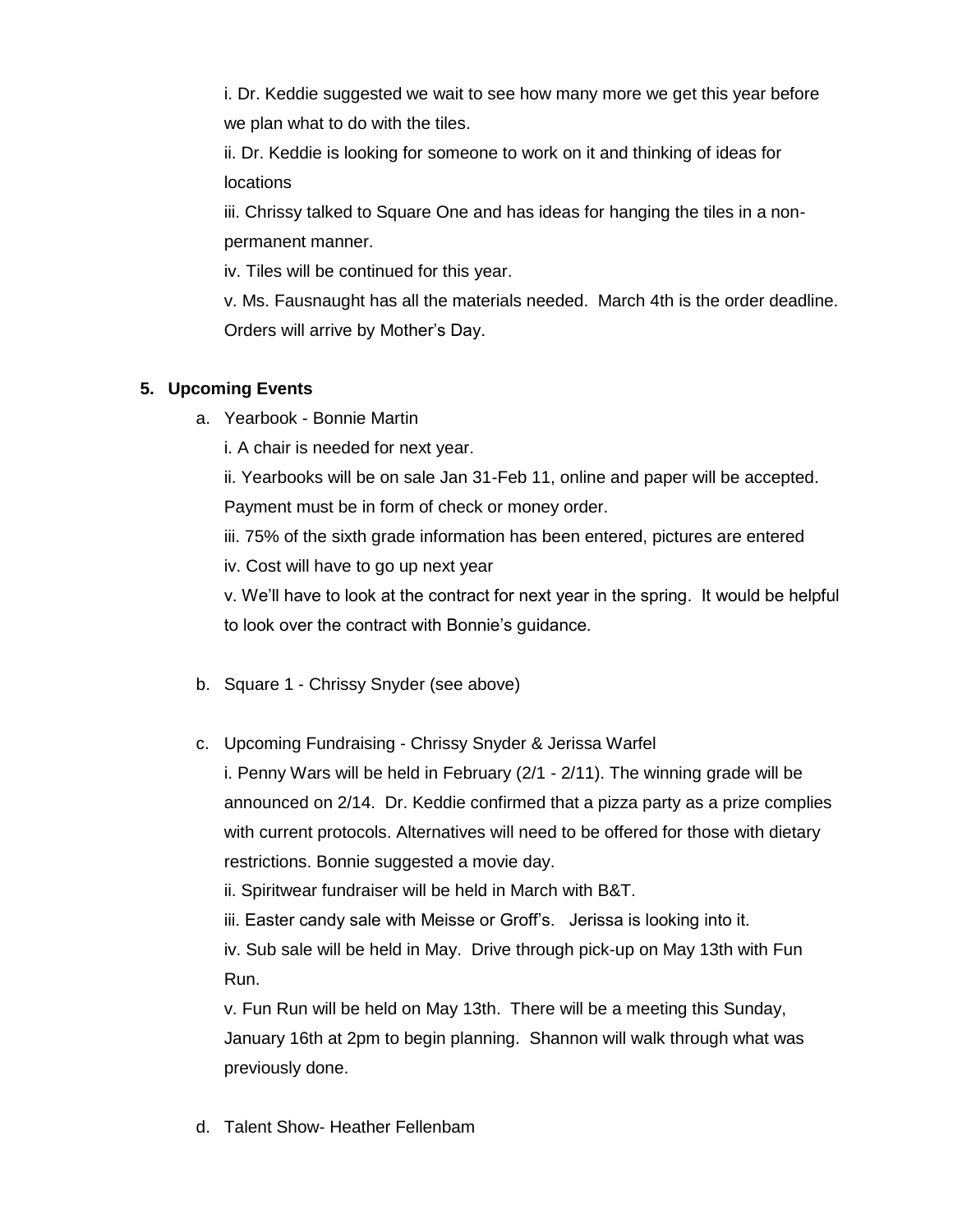i. Dr. Keddie suggested we wait to see how many more we get this year before we plan what to do with the tiles.

ii. Dr. Keddie is looking for someone to work on it and thinking of ideas for locations

iii. Chrissy talked to Square One and has ideas for hanging the tiles in a nonpermanent manner.

iv. Tiles will be continued for this year.

v. Ms. Fausnaught has all the materials needed. March 4th is the order deadline. Orders will arrive by Mother's Day.

# **5. Upcoming Events**

a. Yearbook - Bonnie Martin

i. A chair is needed for next year.

ii. Yearbooks will be on sale Jan 31-Feb 11, online and paper will be accepted.

Payment must be in form of check or money order.

iii. 75% of the sixth grade information has been entered, pictures are entered

iv. Cost will have to go up next year

v. We'll have to look at the contract for next year in the spring. It would be helpful to look over the contract with Bonnie's guidance.

- b. Square 1 Chrissy Snyder (see above)
- c. Upcoming Fundraising Chrissy Snyder & Jerissa Warfel

i. Penny Wars will be held in February (2/1 - 2/11). The winning grade will be announced on 2/14. Dr. Keddie confirmed that a pizza party as a prize complies with current protocols. Alternatives will need to be offered for those with dietary restrictions. Bonnie suggested a movie day.

ii. Spiritwear fundraiser will be held in March with B&T.

iii. Easter candy sale with Meisse or Groff's. Jerissa is looking into it.

iv. Sub sale will be held in May. Drive through pick-up on May 13th with Fun Run.

v. Fun Run will be held on May 13th. There will be a meeting this Sunday, January 16th at 2pm to begin planning. Shannon will walk through what was previously done.

d. Talent Show- Heather Fellenbam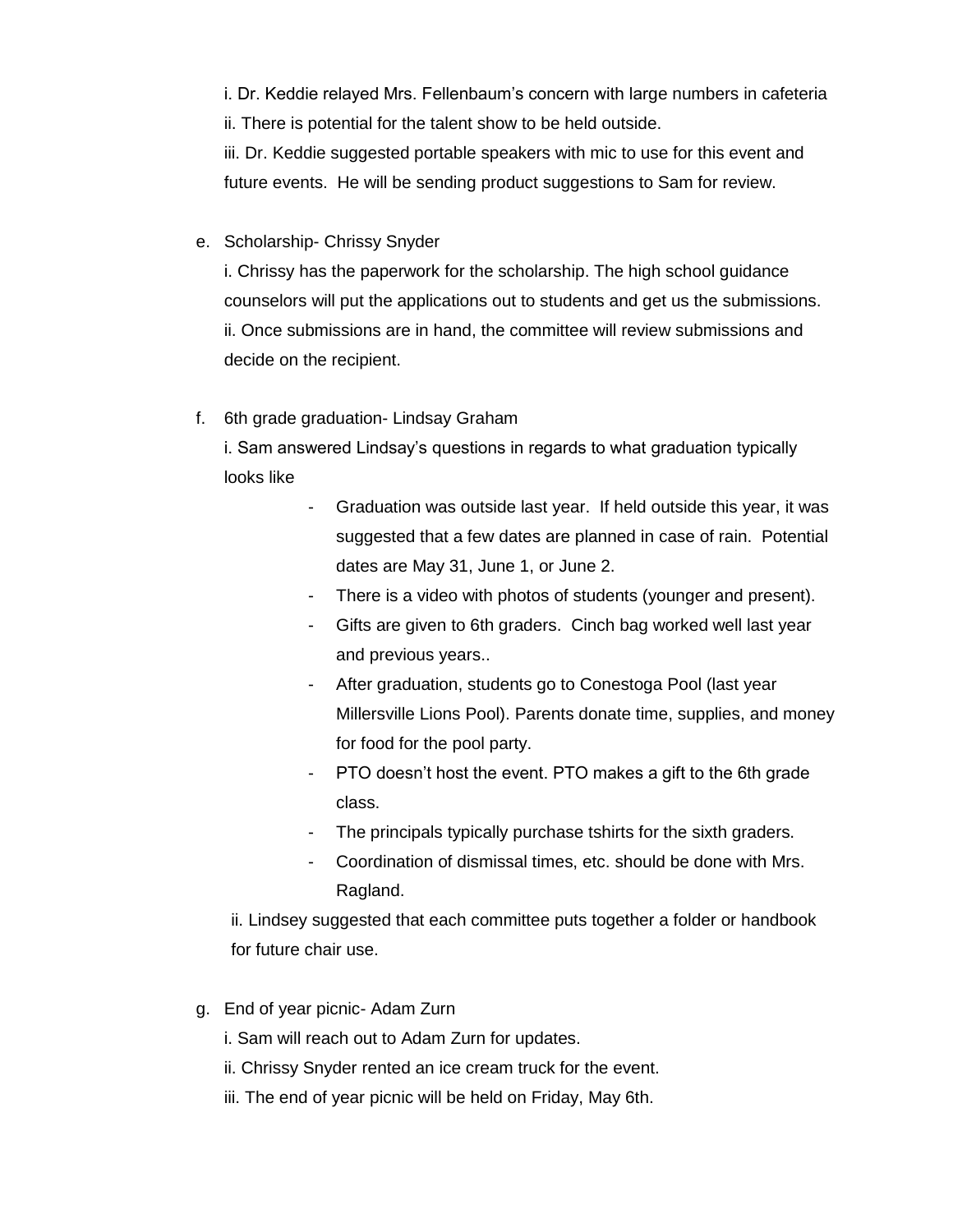i. Dr. Keddie relayed Mrs. Fellenbaum's concern with large numbers in cafeteria ii. There is potential for the talent show to be held outside.

iii. Dr. Keddie suggested portable speakers with mic to use for this event and future events. He will be sending product suggestions to Sam for review.

#### e. Scholarship- Chrissy Snyder

i. Chrissy has the paperwork for the scholarship. The high school guidance counselors will put the applications out to students and get us the submissions. ii. Once submissions are in hand, the committee will review submissions and decide on the recipient.

# f. 6th grade graduation- Lindsay Graham

i. Sam answered Lindsay's questions in regards to what graduation typically looks like

- Graduation was outside last year. If held outside this year, it was suggested that a few dates are planned in case of rain. Potential dates are May 31, June 1, or June 2.
- There is a video with photos of students (younger and present).
- Gifts are given to 6th graders. Cinch bag worked well last year and previous years..
- After graduation, students go to Conestoga Pool (last year Millersville Lions Pool). Parents donate time, supplies, and money for food for the pool party.
- PTO doesn't host the event. PTO makes a gift to the 6th grade class.
- The principals typically purchase tshirts for the sixth graders.
- Coordination of dismissal times, etc. should be done with Mrs. Ragland.

ii. Lindsey suggested that each committee puts together a folder or handbook for future chair use.

g. End of year picnic- Adam Zurn

i. Sam will reach out to Adam Zurn for updates.

- ii. Chrissy Snyder rented an ice cream truck for the event.
- iii. The end of year picnic will be held on Friday, May 6th.